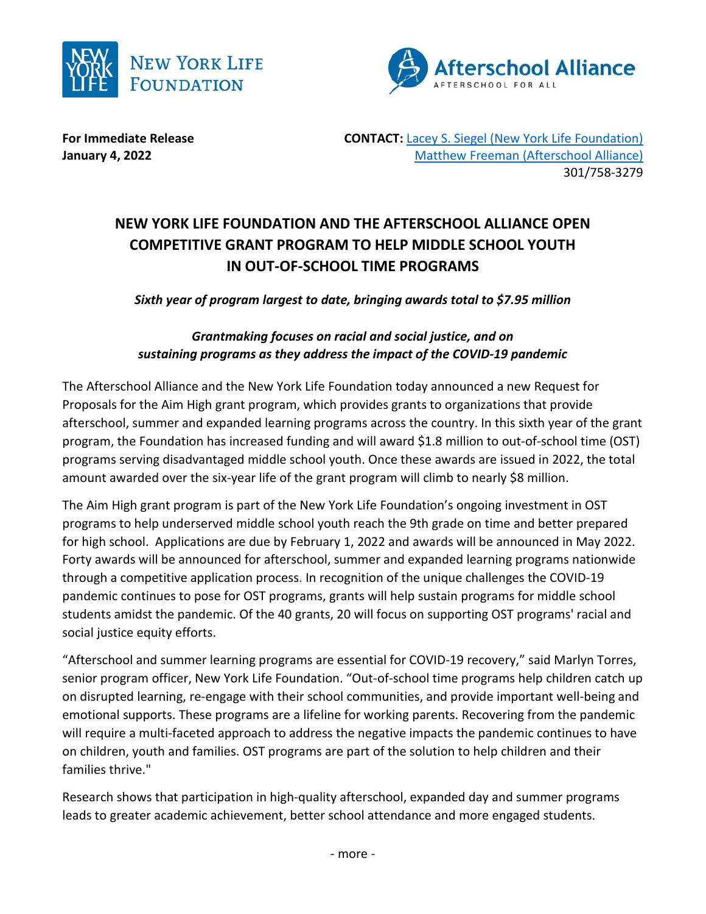



**For Immediate Release The CONTACT: [Lacey S. Siegel \(New York Life Foundation\)](mailto:lacey_s_siegel@newyorklife.com?subject=New%20York%20Life%20Fdtn/Afterschool%20Alliance) January 4, 2022** [Matthew Freeman \(Afterschool Alliance\)](mailto:matt@prsolutionsdc.com?subject=New%20York%20Life%20Fdtn/Afterschool%20Alliance) 301/758-3279

## **NEW YORK LIFE FOUNDATION AND THE AFTERSCHOOL ALLIANCE OPEN COMPETITIVE GRANT PROGRAM TO HELP MIDDLE SCHOOL YOUTH IN OUT-OF-SCHOOL TIME PROGRAMS**

*Sixth year of program largest to date, bringing awards total to \$7.95 million*

## *Grantmaking focuses on racial and social justice, and on sustaining programs as they address the impact of the COVID-19 pandemic*

The Afterschool Alliance and the New York Life Foundation today announced a new Request for Proposals for the Aim High grant program, which provides grants to organizations that provide afterschool, summer and expanded learning programs across the country. In this sixth year of the grant program, the Foundation has increased funding and will award \$1.8 million to out-of-school time (OST) programs serving disadvantaged middle school youth. Once these awards are issued in 2022, the total amount awarded over the six-year life of the grant program will climb to nearly \$8 million.

The Aim High grant program is part of the New York Life Foundation's ongoing investment in OST programs to help underserved middle school youth reach the 9th grade on time and better prepared for high school. Applications are due by February 1, 2022 and awards will be announced in May 2022. Forty awards will be announced for afterschool, summer and expanded learning programs nationwide through a competitive application process. In recognition of the unique challenges the COVID-19 pandemic continues to pose for OST programs, grants will help sustain programs for middle school students amidst the pandemic. Of the 40 grants, 20 will focus on supporting OST programs' racial and social justice equity efforts.

"Afterschool and summer learning programs are essential for COVID-19 recovery," said Marlyn Torres, senior program officer, New York Life Foundation. "Out-of-school time programs help children catch up on disrupted learning, re-engage with their school communities, and provide important well-being and emotional supports. These programs are a lifeline for working parents. Recovering from the pandemic will require a multi-faceted approach to address the negative impacts the pandemic continues to have on children, youth and families. OST programs are part of the solution to help children and their families thrive."

Research shows that participation in high-quality afterschool, expanded day and summer programs leads to greater academic achievement, better school attendance and more engaged students.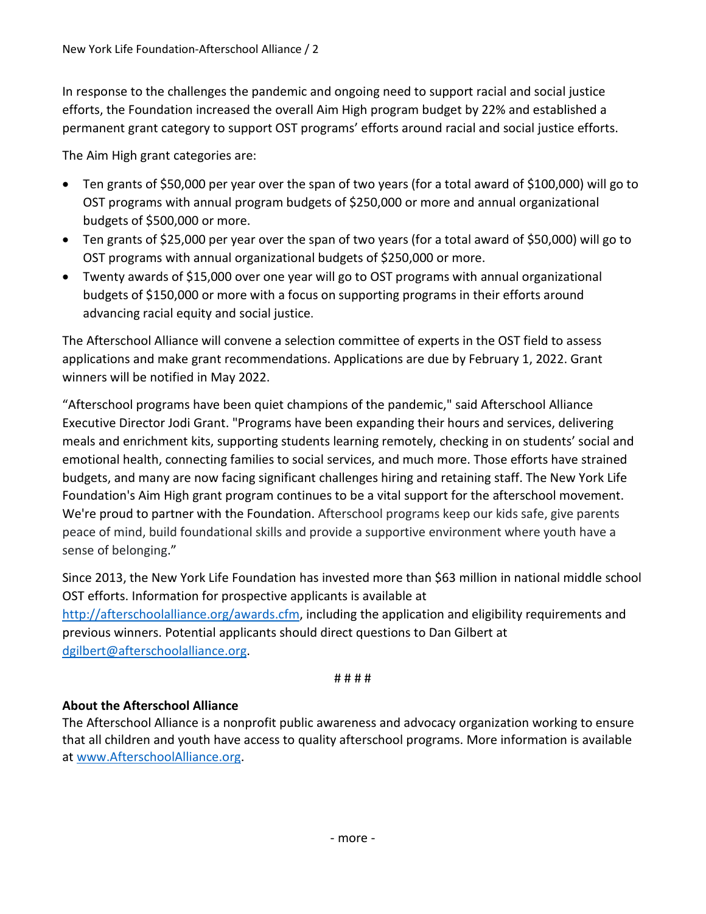In response to the challenges the pandemic and ongoing need to support racial and social justice efforts, the Foundation increased the overall Aim High program budget by 22% and established a permanent grant category to support OST programs' efforts around racial and social justice efforts.

The Aim High grant categories are:

- Ten grants of \$50,000 per year over the span of two years (for a total award of \$100,000) will go to OST programs with annual program budgets of \$250,000 or more and annual organizational budgets of \$500,000 or more.
- Ten grants of \$25,000 per year over the span of two years (for a total award of \$50,000) will go to OST programs with annual organizational budgets of \$250,000 or more.
- Twenty awards of \$15,000 over one year will go to OST programs with annual organizational budgets of \$150,000 or more with a focus on supporting programs in their efforts around advancing racial equity and social justice.

The Afterschool Alliance will convene a selection committee of experts in the OST field to assess applications and make grant recommendations. Applications are due by February 1, 2022. Grant winners will be notified in May 2022.

"Afterschool programs have been quiet champions of the pandemic," said Afterschool Alliance Executive Director Jodi Grant. "Programs have been expanding their hours and services, delivering meals and enrichment kits, supporting students learning remotely, checking in on students' social and emotional health, connecting families to social services, and much more. Those efforts have strained budgets, and many are now facing significant challenges hiring and retaining staff. The New York Life Foundation's Aim High grant program continues to be a vital support for the afterschool movement. We're proud to partner with the Foundation. Afterschool programs keep our kids safe, give parents peace of mind, build foundational skills and provide a supportive environment where youth have a sense of belonging."

Since 2013, the New York Life Foundation has invested more than \$63 million in national middle school OST efforts. Information for prospective applicants is available at [http://afterschoolalliance.org/awards.cfm,](http://afterschoolalliance.org/awards.cfm) including the application and eligibility requirements and previous winners. Potential applicants should direct questions to Dan Gilbert at [dgilbert@afterschoolalliance.org.](mailto:dgilbert@afterschoolalliance.org;uhelminski@afterschoolalliance.org?subject=Aim%20High%20Grant%20Program)

# # # #

## **About the Afterschool Alliance**

The Afterschool Alliance is a nonprofit public awareness and advocacy organization working to ensure that all children and youth have access to quality afterschool programs. More information is available at [www.AfterschoolAlliance.org.](http://www.afterschoolalliance.org/)